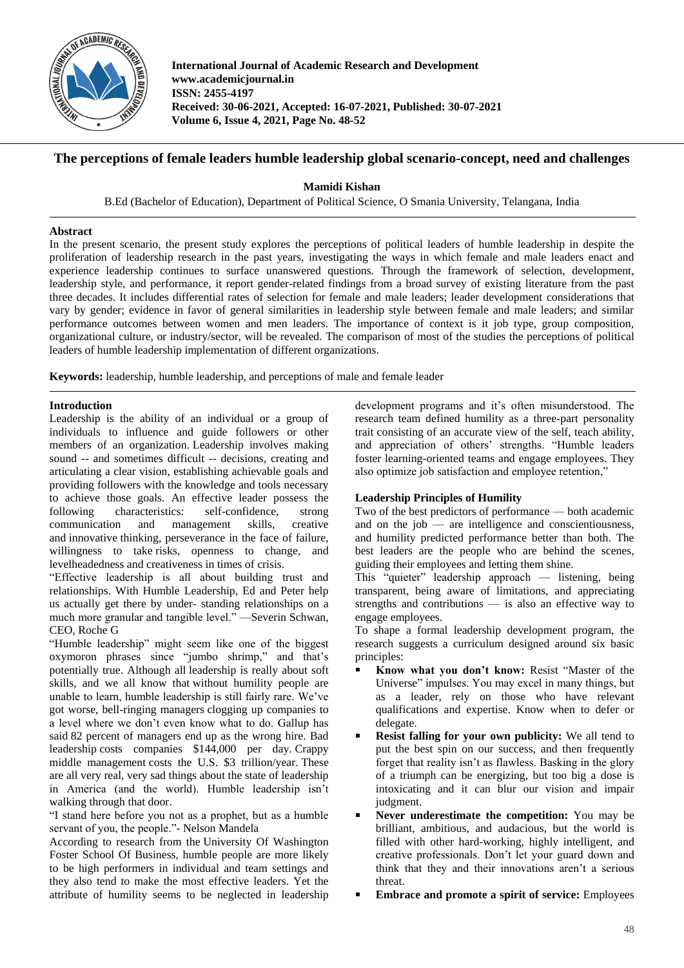

**International Journal of Academic Research and Development www.academicjournal.in ISSN: 2455-4197 Received: 30-06-2021, Accepted: 16-07-2021, Published: 30-07-2021 Volume 6, Issue 4, 2021, Page No. 48-52**

## **The perceptions of female leaders humble leadership global scenario-concept, need and challenges**

**Mamidi Kishan**

B.Ed (Bachelor of Education), Department of Political Science, O Smania University, Telangana, India

### **Abstract**

In the present scenario, the present study explores the perceptions of political leaders of humble leadership in despite the proliferation of leadership research in the past years, investigating the ways in which female and male leaders enact and experience leadership continues to surface unanswered questions. Through the framework of selection, development, leadership style, and performance, it report gender-related findings from a broad survey of existing literature from the past three decades. It includes differential rates of selection for female and male leaders; leader development considerations that vary by gender; evidence in favor of general similarities in leadership style between female and male leaders; and similar performance outcomes between women and men leaders. The importance of context is it job type, group composition, organizational culture, or industry/sector, will be revealed. The comparison of most of the studies the perceptions of political leaders of humble leadership implementation of different organizations.

**Keywords:** leadership, humble leadership, and perceptions of male and female leader

### **Introduction**

Leadership is the ability of an individual or a group of individuals to influence and guide followers or other members of an organization. Leadership involves making sound -- and sometimes difficult -- decisions, creating and articulating a clear vision, establishing achievable goals and providing followers with the knowledge and tools necessary to achieve those goals. An effective leader possess the following characteristics: self-confidence, strong communication and management skills, creative and innovative thinking, perseverance in the face of failure, willingness to take risks, openness to change, and levelheadedness and creativeness in times of crisis.

"Effective leadership is all about building trust and relationships. With Humble Leadership, Ed and Peter help us actually get there by under- standing relationships on a much more granular and tangible level." —Severin Schwan, CEO, Roche G

"Humble leadership" might seem like one of the biggest oxymoron phrases since "jumbo shrimp," and that's potentially true. Although all leadership is really about soft skills, and we all know that without humility people are unable to learn, humble leadership is still fairly rare. We've got worse, bell-ringing managers clogging up companies to a level where we don't even know what to do. Gallup has said 82 percent of managers end up as the wrong hire. Bad leadership costs companies \$144,000 per day. Crappy middle management costs the U.S. \$3 trillion/year. These are all very real, very sad things about the state of leadership in America (and the world). Humble leadership isn't walking through that door.

"I stand here before you not as a prophet, but as a humble servant of you, the people."- Nelson Mandela

According to research from the University Of Washington Foster School Of Business, humble people are more likely to be high performers in individual and team settings and they also tend to make the most effective leaders. Yet the attribute of humility seems to be neglected in leadership

development programs and it's often misunderstood. The research team defined humility as a three-part personality trait consisting of an accurate view of the self, teach ability, and appreciation of others' strengths. "Humble leaders foster learning-oriented teams and engage employees. They also optimize job satisfaction and employee retention,"

## **Leadership Principles of Humility**

Two of the best predictors of performance — both academic and on the  $job$  — are intelligence and conscientiousness, and humility predicted performance better than both. The best leaders are the people who are behind the scenes, guiding their employees and letting them shine.

This "quieter" leadership approach — listening, being transparent, being aware of limitations, and appreciating strengths and contributions — is also an effective way to engage employees.

To shape a formal leadership development program, the research suggests a curriculum designed around six basic principles:

- **Know what you don't know:** Resist "Master of the Universe" impulses. You may excel in many things, but as a leader, rely on those who have relevant qualifications and expertise. Know when to defer or delegate.
- **Resist falling for your own publicity:** We all tend to put the best spin on our success, and then frequently forget that reality isn't as flawless. Basking in the glory of a triumph can be energizing, but too big a dose is intoxicating and it can blur our vision and impair judgment.
- **Never underestimate the competition:** You may be brilliant, ambitious, and audacious, but the world is filled with other hard-working, highly intelligent, and creative professionals. Don't let your guard down and think that they and their innovations aren't a serious threat.
- **Embrace and promote a spirit of service:** Employees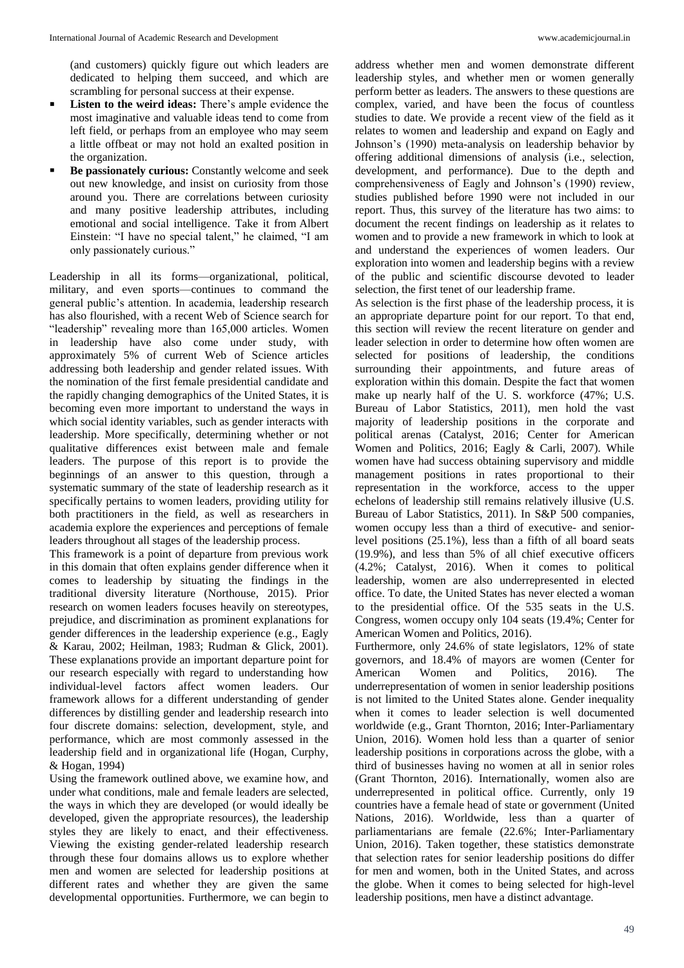(and customers) quickly figure out which leaders are dedicated to helping them succeed, and which are scrambling for personal success at their expense.

- **Listen to the weird ideas:** There's ample evidence the most imaginative and valuable ideas tend to come from left field, or perhaps from an employee who may seem a little offbeat or may not hold an exalted position in the organization.
- **Be passionately curious:** Constantly welcome and seek out new knowledge, and insist on curiosity from those around you. There are correlations between curiosity and many positive leadership attributes, including emotional and social intelligence. Take it from Albert Einstein: "I have no special talent," he claimed, "I am only passionately curious."

Leadership in all its forms—organizational, political, military, and even sports—continues to command the general public's attention. In academia, leadership research has also flourished, with a recent Web of Science search for "leadership" revealing more than 165,000 articles. Women in leadership have also come under study, with approximately 5% of current Web of Science articles addressing both leadership and gender related issues. With the nomination of the first female presidential candidate and the rapidly changing demographics of the United States, it is becoming even more important to understand the ways in which social identity variables, such as gender interacts with leadership. More specifically, determining whether or not qualitative differences exist between male and female leaders. The purpose of this report is to provide the beginnings of an answer to this question, through a systematic summary of the state of leadership research as it specifically pertains to women leaders, providing utility for both practitioners in the field, as well as researchers in academia explore the experiences and perceptions of female leaders throughout all stages of the leadership process.

This framework is a point of departure from previous work in this domain that often explains gender difference when it comes to leadership by situating the findings in the traditional diversity literature (Northouse, 2015). Prior research on women leaders focuses heavily on stereotypes, prejudice, and discrimination as prominent explanations for gender differences in the leadership experience (e.g., Eagly & Karau, 2002; Heilman, 1983; Rudman & Glick, 2001). These explanations provide an important departure point for our research especially with regard to understanding how individual-level factors affect women leaders. Our framework allows for a different understanding of gender differences by distilling gender and leadership research into four discrete domains: selection, development, style, and performance, which are most commonly assessed in the leadership field and in organizational life (Hogan, Curphy, & Hogan, 1994)

Using the framework outlined above, we examine how, and under what conditions, male and female leaders are selected, the ways in which they are developed (or would ideally be developed, given the appropriate resources), the leadership styles they are likely to enact, and their effectiveness. Viewing the existing gender-related leadership research through these four domains allows us to explore whether men and women are selected for leadership positions at different rates and whether they are given the same developmental opportunities. Furthermore, we can begin to

address whether men and women demonstrate different leadership styles, and whether men or women generally perform better as leaders. The answers to these questions are complex, varied, and have been the focus of countless studies to date. We provide a recent view of the field as it relates to women and leadership and expand on Eagly and Johnson's (1990) meta-analysis on leadership behavior by offering additional dimensions of analysis (i.e., selection, development, and performance). Due to the depth and comprehensiveness of Eagly and Johnson's (1990) review, studies published before 1990 were not included in our report. Thus, this survey of the literature has two aims: to document the recent findings on leadership as it relates to women and to provide a new framework in which to look at and understand the experiences of women leaders. Our exploration into women and leadership begins with a review of the public and scientific discourse devoted to leader selection, the first tenet of our leadership frame.

As selection is the first phase of the leadership process, it is an appropriate departure point for our report. To that end, this section will review the recent literature on gender and leader selection in order to determine how often women are selected for positions of leadership, the conditions surrounding their appointments, and future areas of exploration within this domain. Despite the fact that women make up nearly half of the U. S. workforce (47%; U.S. Bureau of Labor Statistics, 2011), men hold the vast majority of leadership positions in the corporate and political arenas (Catalyst, 2016; Center for American Women and Politics, 2016; Eagly & Carli, 2007). While women have had success obtaining supervisory and middle management positions in rates proportional to their representation in the workforce, access to the upper echelons of leadership still remains relatively illusive (U.S. Bureau of Labor Statistics, 2011). In S&P 500 companies, women occupy less than a third of executive- and seniorlevel positions (25.1%), less than a fifth of all board seats (19.9%), and less than 5% of all chief executive officers (4.2%; Catalyst, 2016). When it comes to political leadership, women are also underrepresented in elected office. To date, the United States has never elected a woman to the presidential office. Of the 535 seats in the U.S. Congress, women occupy only 104 seats (19.4%; Center for American Women and Politics, 2016).

Furthermore, only 24.6% of state legislators, 12% of state governors, and 18.4% of mayors are women (Center for American Women and Politics, 2016). The underrepresentation of women in senior leadership positions is not limited to the United States alone. Gender inequality when it comes to leader selection is well documented worldwide (e.g., Grant Thornton, 2016; Inter-Parliamentary Union, 2016). Women hold less than a quarter of senior leadership positions in corporations across the globe, with a third of businesses having no women at all in senior roles (Grant Thornton, 2016). Internationally, women also are underrepresented in political office. Currently, only 19 countries have a female head of state or government (United Nations, 2016). Worldwide, less than a quarter of parliamentarians are female (22.6%; Inter-Parliamentary Union, 2016). Taken together, these statistics demonstrate that selection rates for senior leadership positions do differ for men and women, both in the United States, and across the globe. When it comes to being selected for high-level leadership positions, men have a distinct advantage.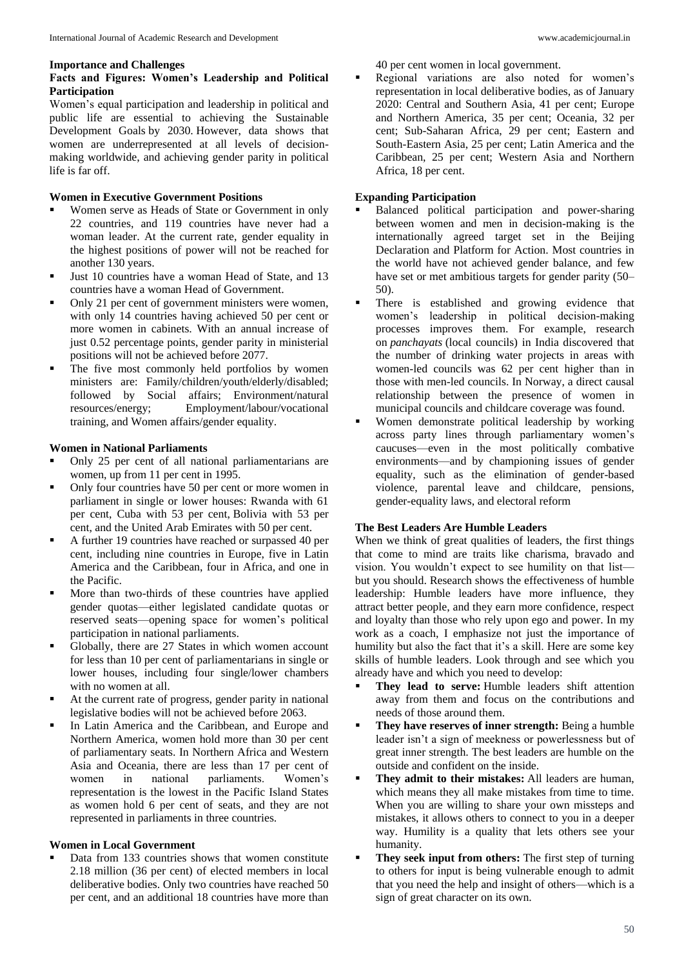#### **Importance and Challenges**

## **Facts and Figures: Women's Leadership and Political Participation**

Women's equal participation and leadership in political and public life are essential to achieving the Sustainable Development Goals by 2030. However, data shows that women are underrepresented at all levels of decisionmaking worldwide, and achieving gender parity in political life is far off.

# **Women in Executive Government Positions**

- Women serve as Heads of State or Government in only 22 countries, and 119 countries have never had a woman leader. At the current rate, gender equality in the highest positions of power will not be reached for another 130 years.
- Just 10 countries have a woman Head of State, and 13 countries have a woman Head of Government.
- Only 21 per cent of government ministers were women, with only 14 countries having achieved 50 per cent or more women in cabinets. With an annual increase of just 0.52 percentage points, gender parity in ministerial positions will not be achieved before 2077.
- The five most commonly held portfolios by women ministers are: Family/children/youth/elderly/disabled; followed by Social affairs; Environment/natural resources/energy; Employment/labour/vocational training, and Women affairs/gender equality.

## **Women in National Parliaments**

- Only 25 per cent of all national parliamentarians are women, up from 11 per cent in 1995.
- Only four countries have 50 per cent or more women in parliament in single or lower houses: Rwanda with 61 per cent, Cuba with 53 per cent, Bolivia with 53 per cent, and the United Arab Emirates with 50 per cent.
- A further 19 countries have reached or surpassed 40 per cent, including nine countries in Europe, five in Latin America and the Caribbean, four in Africa, and one in the Pacific.
- More than two-thirds of these countries have applied gender quotas—either legislated candidate quotas or reserved seats—opening space for women's political participation in national parliaments.
- Globally, there are 27 States in which women account for less than 10 per cent of parliamentarians in single or lower houses, including four single/lower chambers with no women at all.
- At the current rate of progress, gender parity in national legislative bodies will not be achieved before 2063.
- In Latin America and the Caribbean, and Europe and Northern America, women hold more than 30 per cent of parliamentary seats. In Northern Africa and Western Asia and Oceania, there are less than 17 per cent of<br>women in national parliaments. Women's women in national parliaments. Women's representation is the lowest in the Pacific Island States as women hold 6 per cent of seats, and they are not represented in parliaments in three countries.

# **Women in Local Government**

 Data from 133 countries shows that women constitute 2.18 million (36 per cent) of elected members in local deliberative bodies. Only two countries have reached 50 per cent, and an additional 18 countries have more than 40 per cent women in local government.

 Regional variations are also noted for women's representation in local deliberative bodies, as of January 2020: Central and Southern Asia, 41 per cent; Europe and Northern America, 35 per cent; Oceania, 32 per cent; Sub-Saharan Africa, 29 per cent; Eastern and South-Eastern Asia, 25 per cent; Latin America and the Caribbean, 25 per cent; Western Asia and Northern Africa, 18 per cent.

# **Expanding Participation**

- Balanced political participation and power-sharing between women and men in decision-making is the internationally agreed target set in the Beijing Declaration and Platform for Action. Most countries in the world have not achieved gender balance, and few have set or met ambitious targets for gender parity (50– 50).
- There is established and growing evidence that women's leadership in political decision-making processes improves them. For example, research on *panchayats* (local councils) in India discovered that the number of drinking water projects in areas with women-led councils was 62 per cent higher than in those with men-led councils. In Norway, a direct causal relationship between the presence of women in municipal councils and childcare coverage was found.
- Women demonstrate political leadership by working across party lines through parliamentary women's caucuses—even in the most politically combative environments—and by championing issues of gender equality, such as the elimination of gender-based violence, parental leave and childcare, pensions, gender-equality laws, and electoral reform

# **The Best Leaders Are Humble Leaders**

When we think of great qualities of leaders, the first things that come to mind are traits like charisma, bravado and vision. You wouldn't expect to see humility on that list but you should. Research shows the effectiveness of humble leadership: Humble leaders have more influence, they attract better people, and they earn more confidence, respect and loyalty than those who rely upon ego and power. In my work as a coach, I emphasize not just the importance of humility but also the fact that it's a skill. Here are some key skills of humble leaders. Look through and see which you already have and which you need to develop:

- **They lead to serve:** Humble leaders shift attention away from them and focus on the contributions and needs of those around them.
- **They have reserves of inner strength:** Being a humble leader isn't a sign of meekness or powerlessness but of great inner strength. The best leaders are humble on the outside and confident on the inside.
- **They admit to their mistakes:** All leaders are human, which means they all make mistakes from time to time. When you are willing to share your own missteps and mistakes, it allows others to connect to you in a deeper way. Humility is a quality that lets others see your humanity.
- **They seek input from others:** The first step of turning to others for input is being vulnerable enough to admit that you need the help and insight of others—which is a sign of great character on its own.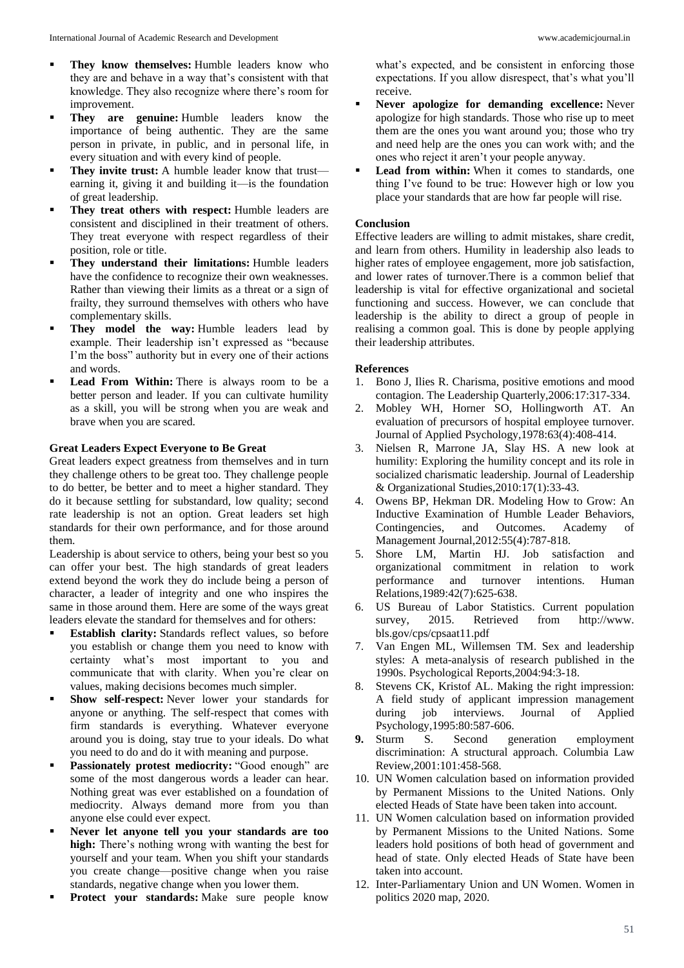- **They know themselves:** Humble leaders know who they are and behave in a way that's consistent with that knowledge. They also recognize where there's room for improvement.
- **They are genuine:** Humble leaders know the importance of being authentic. They are the same person in private, in public, and in personal life, in every situation and with every kind of people.
- **They invite trust:** A humble leader know that trust earning it, giving it and building it—is the foundation of great leadership.
- **They treat others with respect:** Humble leaders are consistent and disciplined in their treatment of others. They treat everyone with respect regardless of their position, role or title.
- **They understand their limitations:** Humble leaders have the confidence to recognize their own weaknesses. Rather than viewing their limits as a threat or a sign of frailty, they surround themselves with others who have complementary skills.
- **They model the way:** Humble leaders lead by example. Their leadership isn't expressed as "because I'm the boss" authority but in every one of their actions and words.
- **Lead From Within:** There is always room to be a better person and leader. If you can cultivate humility as a skill, you will be strong when you are weak and brave when you are scared.

#### **Great Leaders Expect Everyone to Be Great**

Great leaders expect greatness from themselves and in turn they challenge others to be great too. They challenge people to do better, be better and to meet a higher standard. They do it because settling for substandard, low quality; second rate leadership is not an option. Great leaders set high standards for their own performance, and for those around them.

Leadership is about service to others, being your best so you can offer your best. The high standards of great leaders extend beyond the work they do include being a person of character, a leader of integrity and one who inspires the same in those around them. Here are some of the ways great leaders elevate the standard for themselves and for others:

- **Establish clarity:** Standards reflect values, so before you establish or change them you need to know with certainty what's most important to you and communicate that with clarity. When you're clear on values, making decisions becomes much simpler.
- **Show self-respect:** Never lower your standards for anyone or anything. The self-respect that comes with firm standards is everything. Whatever everyone around you is doing, stay true to your ideals. Do what you need to do and do it with meaning and purpose.
- Passionately protest mediocrity: "Good enough" are some of the most dangerous words a leader can hear. Nothing great was ever established on a foundation of mediocrity. Always demand more from you than anyone else could ever expect.
- **Never let anyone tell you your standards are too high:** There's nothing wrong with wanting the best for yourself and your team. When you shift your standards you create change—positive change when you raise standards, negative change when you lower them.
- **Protect your standards:** Make sure people know

what's expected, and be consistent in enforcing those expectations. If you allow disrespect, that's what you'll receive.

- **Never apologize for demanding excellence:** Never apologize for high standards. Those who rise up to meet them are the ones you want around you; those who try and need help are the ones you can work with; and the ones who reject it aren't your people anyway.
- **Lead from within:** When it comes to standards, one thing I've found to be true: However high or low you place your standards that are how far people will rise.

### **Conclusion**

Effective leaders are willing to admit mistakes, share credit, and learn from others. Humility in leadership also leads to higher rates of employee engagement, more job satisfaction, and lower rates of turnover.There is a common belief that leadership is vital for effective organizational and societal functioning and success. However, we can conclude that leadership is the ability to direct a group of people in realising a common goal. This is done by people applying their leadership attributes.

#### **References**

- 1. Bono J, Ilies R. Charisma, positive emotions and mood contagion. The Leadership Quarterly,2006:17:317-334.
- 2. Mobley WH, Horner SO, Hollingworth AT. An evaluation of precursors of hospital employee turnover. Journal of Applied Psychology,1978:63(4):408-414.
- 3. Nielsen R, Marrone JA, Slay HS. A new look at humility: Exploring the humility concept and its role in socialized charismatic leadership. Journal of Leadership & Organizational Studies,2010:17(1):33-43.
- 4. Owens BP, Hekman DR. Modeling How to Grow: An Inductive Examination of Humble Leader Behaviors, Contingencies, and Outcomes. Academy of Management Journal,2012:55(4):787-818.
- 5. Shore LM, Martin HJ. Job satisfaction and organizational commitment in relation to work performance and turnover intentions. Human Relations,1989:42(7):625-638.
- 6. US Bureau of Labor Statistics. Current population survey, 2015. Retrieved from http://www. bls.gov/cps/cpsaat11.pdf
- 7. Van Engen ML, Willemsen TM. Sex and leadership styles: A meta-analysis of research published in the 1990s. Psychological Reports,2004:94:3-18.
- 8. Stevens CK, Kristof AL. Making the right impression: A field study of applicant impression management during job interviews. Journal of Applied Psychology,1995:80:587-606.
- **9.** Sturm S. Second generation employment discrimination: A structural approach. Columbia Law Review,2001:101:458-568.
- 10. UN Women calculation based on information provided by Permanent Missions to the United Nations. Only elected Heads of State have been taken into account.
- 11. UN Women calculation based on information provided by Permanent Missions to the United Nations. Some leaders hold positions of both head of government and head of state. Only elected Heads of State have been taken into account.
- 12. Inter-Parliamentary Union and UN Women. Women in politics 2020 map, 2020.